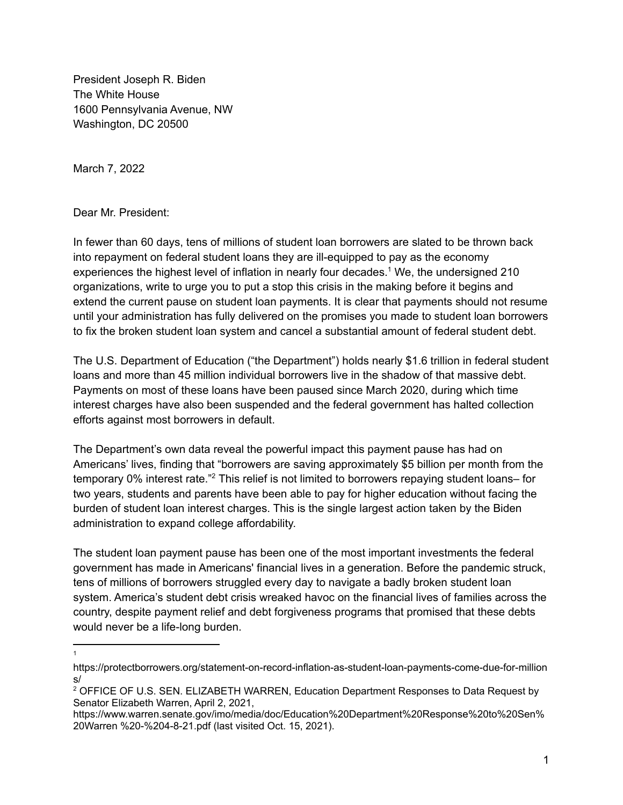President Joseph R. Biden The White House 1600 Pennsylvania Avenue, NW Washington, DC 20500

March 7, 2022

Dear Mr. President:

In fewer than 60 days, tens of millions of student loan borrowers are slated to be thrown back into repayment on federal student loans they are ill-equipped to pay as the economy experiences the highest level of inflation in nearly four decades. <sup>1</sup> We, the undersigned 210 organizations, write to urge you to put a stop this crisis in the making before it begins and extend the current pause on student loan payments. It is clear that payments should not resume until your administration has fully delivered on the promises you made to student loan borrowers to fix the broken student loan system and cancel a substantial amount of federal student debt.

The U.S. Department of Education ("the Department") holds nearly \$1.6 trillion in federal student loans and more than 45 million individual borrowers live in the shadow of that massive debt. Payments on most of these loans have been paused since March 2020, during which time interest charges have also been suspended and the federal government has halted collection efforts against most borrowers in default.

The Department's own data reveal the powerful impact this payment pause has had on Americans' lives, finding that "borrowers are saving approximately \$5 billion per month from the temporary 0% interest rate."<sup>2</sup> This relief is not limited to borrowers repaying student loans– for two years, students and parents have been able to pay for higher education without facing the burden of student loan interest charges. This is the single largest action taken by the Biden administration to expand college affordability.

The student loan payment pause has been one of the most important investments the federal government has made in Americans' financial lives in a generation. Before the pandemic struck, tens of millions of borrowers struggled every day to navigate a badly broken student loan system. America's student debt crisis wreaked havoc on the financial lives of families across the country, despite payment relief and debt forgiveness programs that promised that these debts would never be a life-long burden.

<sup>1</sup>

https://protectborrowers.org/statement-on-record-inflation-as-student-loan-payments-come-due-for-million s/

<sup>2</sup> OFFICE OF U.S. SEN. ELIZABETH WARREN, Education Department Responses to Data Request by Senator Elizabeth Warren, April 2, 2021,

https://www.warren.senate.gov/imo/media/doc/Education%20Department%20Response%20to%20Sen% 20Warren %20-%204-8-21.pdf (last visited Oct. 15, 2021).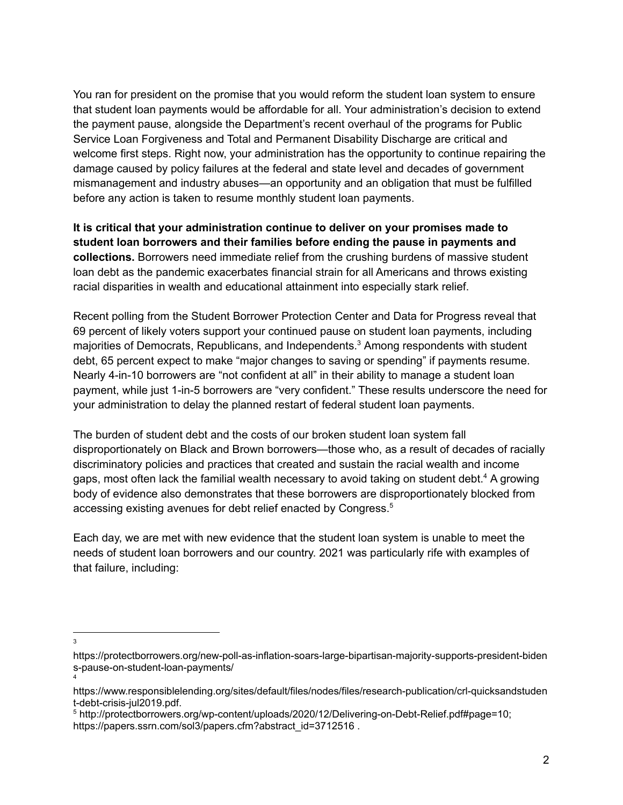You ran for president on the promise that you would reform the student loan system to ensure that student loan payments would be affordable for all. Your administration's decision to extend the payment pause, alongside the Department's recent overhaul of the programs for Public Service Loan Forgiveness and Total and Permanent Disability Discharge are critical and welcome first steps. Right now, your administration has the opportunity to continue repairing the damage caused by policy failures at the federal and state level and decades of government mismanagement and industry abuses—an opportunity and an obligation that must be fulfilled before any action is taken to resume monthly student loan payments.

**It is critical that your administration continue to deliver on your promises made to student loan borrowers and their families before ending the pause in payments and collections.** Borrowers need immediate relief from the crushing burdens of massive student loan debt as the pandemic exacerbates financial strain for all Americans and throws existing racial disparities in wealth and educational attainment into especially stark relief.

Recent polling from the Student Borrower Protection Center and Data for Progress reveal that 69 percent of likely voters support your continued pause on student loan payments, including majorities of Democrats, Republicans, and Independents. <sup>3</sup> Among respondents with student debt, 65 percent expect to make "major changes to saving or spending" if payments resume. Nearly 4-in-10 borrowers are "not confident at all" in their ability to manage a student loan payment, while just 1-in-5 borrowers are "very confident." These results underscore the need for your administration to delay the planned restart of federal student loan payments.

The burden of student debt and the costs of our broken student loan system fall disproportionately on Black and Brown borrowers—those who, as a result of decades of racially discriminatory policies and practices that created and sustain the racial wealth and income gaps, most often lack the familial wealth necessary to avoid taking on student debt.<sup>4</sup> A growing body of evidence also demonstrates that these borrowers are disproportionately blocked from accessing existing avenues for debt relief enacted by Congress. 5

Each day, we are met with new evidence that the student loan system is unable to meet the needs of student loan borrowers and our country. 2021 was particularly rife with examples of that failure, including:

3

https://protectborrowers.org/new-poll-as-inflation-soars-large-bipartisan-majority-supports-president-biden s-pause-on-student-loan-payments/

<sup>4</sup>

https://www.responsiblelending.org/sites/default/files/nodes/files/research-publication/crl-quicksandstuden t-debt-crisis-jul2019.pdf.

<sup>5</sup> http://protectborrowers.org/wp-content/uploads/2020/12/Delivering-on-Debt-Relief.pdf#page=10; https://papers.ssrn.com/sol3/papers.cfm?abstract\_id=3712516.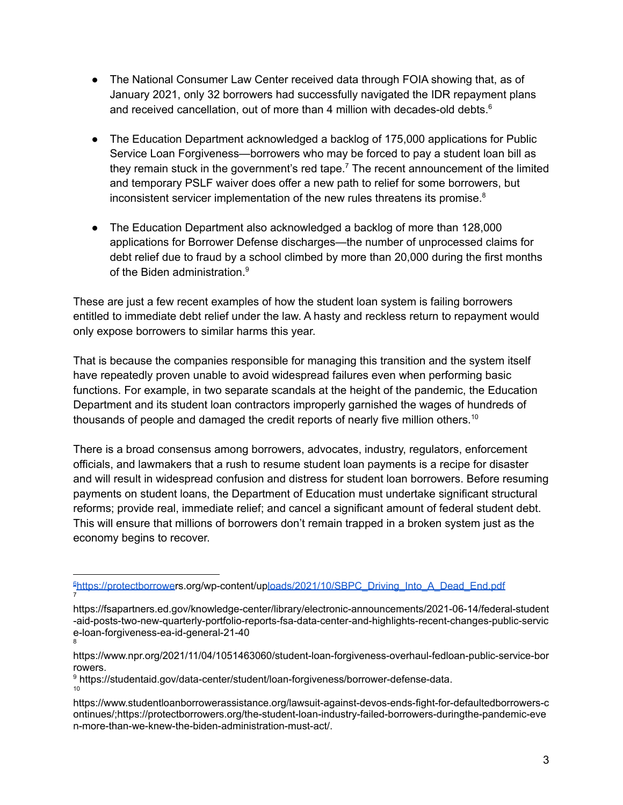- The National Consumer Law Center received data through FOIA showing that, as of January 2021, only 32 borrowers had successfully navigated the IDR repayment plans and received cancellation, out of more than 4 million with decades-old debts. 6
- The Education Department acknowledged a backlog of 175,000 applications for Public Service Loan Forgiveness—borrowers who may be forced to pay a student loan bill as they remain stuck in the government's red tape.<sup>7</sup> The recent announcement of the limited and temporary PSLF waiver does offer a new path to relief for some borrowers, but inconsistent servicer implementation of the new rules threatens its promise. 8
- The Education Department also acknowledged a backlog of more than 128,000 applications for Borrower Defense discharges—the number of unprocessed claims for debt relief due to fraud by a school climbed by more than 20,000 during the first months of the Biden administration. 9

These are just a few recent examples of how the student loan system is failing borrowers entitled to immediate debt relief under the law. A hasty and reckless return to repayment would only expose borrowers to similar harms this year.

That is because the companies responsible for managing this transition and the system itself have repeatedly proven unable to avoid widespread failures even when performing basic functions. For example, in two separate scandals at the height of the pandemic, the Education Department and its student loan contractors improperly garnished the wages of hundreds of thousands of people and damaged the credit reports of nearly five million others.<sup>10</sup>

There is a broad consensus among borrowers, advocates, industry, regulators, enforcement officials, and lawmakers that a rush to resume student loan payments is a recipe for disaster and will result in widespread confusion and distress for student loan borrowers. Before resuming payments on student loans, the Department of Education must undertake significant structural reforms; provide real, immediate relief; and cancel a significant amount of federal student debt. This will ensure that millions of borrowers don't remain trapped in a broken system just as the economy begins to recover.

<sup>7</sup> <sup>6</sup>[https://protectborrowe](https://protectborrowers.org/wp-content/uploads/2021/10/SBPC_Driving_Into_A_Dead_End.pdf)rs.org/wp-content/u[ploads/2021/10/SBPC\\_Driving\\_Into\\_A\\_Dead\\_End.pdf](https://protectborrowers.org/wp-content/uploads/2021/10/SBPC_Driving_Into_A_Dead_End.pdf)

<sup>8</sup> https://fsapartners.ed.gov/knowledge-center/library/electronic-announcements/2021-06-14/federal-student -aid-posts-two-new-quarterly-portfolio-reports-fsa-data-center-and-highlights-recent-changes-public-servic e-loan-forgiveness-ea-id-general-21-40

https://www.npr.org/2021/11/04/1051463060/student-loan-forgiveness-overhaul-fedloan-public-service-bor rowers.

<sup>10</sup> <sup>9</sup> https://studentaid.gov/data-center/student/loan-forgiveness/borrower-defense-data.

https://www.studentloanborrowerassistance.org/lawsuit-against-devos-ends-fight-for-defaultedborrowers-c ontinues/;https://protectborrowers.org/the-student-loan-industry-failed-borrowers-duringthe-pandemic-eve n-more-than-we-knew-the-biden-administration-must-act/.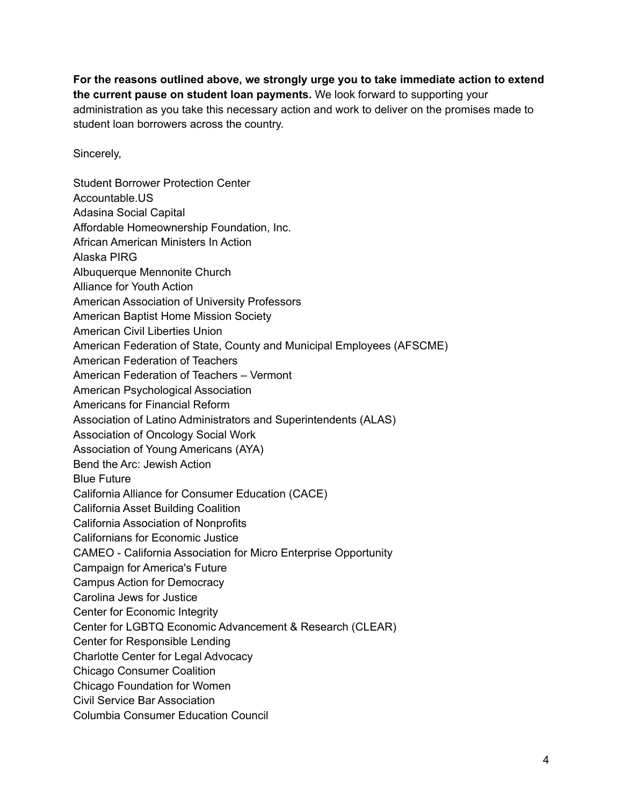**For the reasons outlined above, we strongly urge you to take immediate action to extend the current pause on student loan payments.** We look forward to supporting your administration as you take this necessary action and work to deliver on the promises made to student loan borrowers across the country.

Sincerely,

Student Borrower Protection Center Accountable.US Adasina Social Capital Affordable Homeownership Foundation, Inc. African American Ministers In Action Alaska PIRG Albuquerque Mennonite Church Alliance for Youth Action American Association of University Professors American Baptist Home Mission Society American Civil Liberties Union American Federation of State, County and Municipal Employees (AFSCME) American Federation of Teachers American Federation of Teachers – Vermont American Psychological Association Americans for Financial Reform Association of Latino Administrators and Superintendents (ALAS) Association of Oncology Social Work Association of Young Americans (AYA) Bend the Arc: Jewish Action Blue Future California Alliance for Consumer Education (CACE) California Asset Building Coalition California Association of Nonprofits Californians for Economic Justice CAMEO - California Association for Micro Enterprise Opportunity Campaign for America's Future Campus Action for Democracy Carolina Jews for Justice Center for Economic Integrity Center for LGBTQ Economic Advancement & Research (CLEAR) Center for Responsible Lending Charlotte Center for Legal Advocacy Chicago Consumer Coalition Chicago Foundation for Women Civil Service Bar Association Columbia Consumer Education Council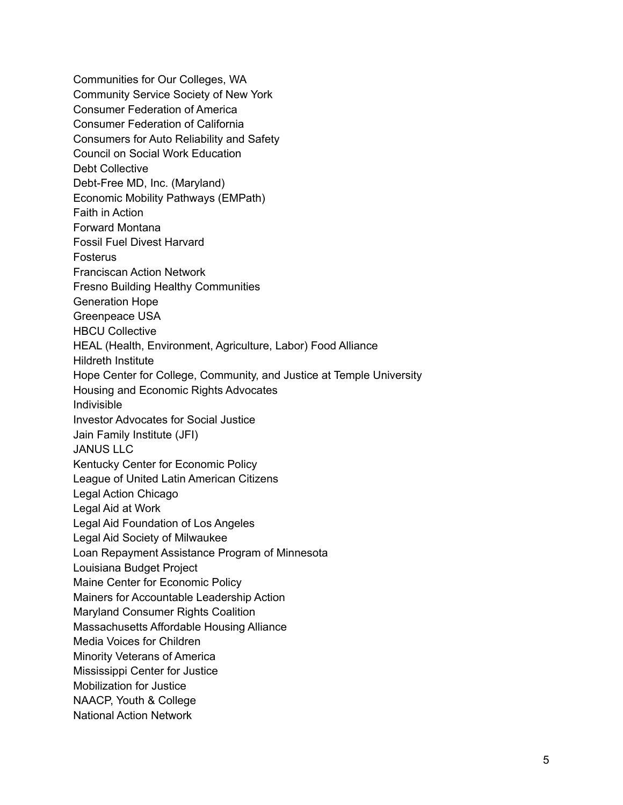Communities for Our Colleges, WA Community Service Society of New York Consumer Federation of America Consumer Federation of California Consumers for Auto Reliability and Safety Council on Social Work Education Debt Collective Debt-Free MD, Inc. (Maryland) Economic Mobility Pathways (EMPath) Faith in Action Forward Montana Fossil Fuel Divest Harvard Fosterus Franciscan Action Network Fresno Building Healthy Communities Generation Hope Greenpeace USA HBCU Collective HEAL (Health, Environment, Agriculture, Labor) Food Alliance Hildreth Institute Hope Center for College, Community, and Justice at Temple University Housing and Economic Rights Advocates Indivisible Investor Advocates for Social Justice Jain Family Institute (JFI) JANUS LLC Kentucky Center for Economic Policy League of United Latin American Citizens Legal Action Chicago Legal Aid at Work Legal Aid Foundation of Los Angeles Legal Aid Society of Milwaukee Loan Repayment Assistance Program of Minnesota Louisiana Budget Project Maine Center for Economic Policy Mainers for Accountable Leadership Action Maryland Consumer Rights Coalition Massachusetts Affordable Housing Alliance Media Voices for Children Minority Veterans of America Mississippi Center for Justice Mobilization for Justice NAACP, Youth & College National Action Network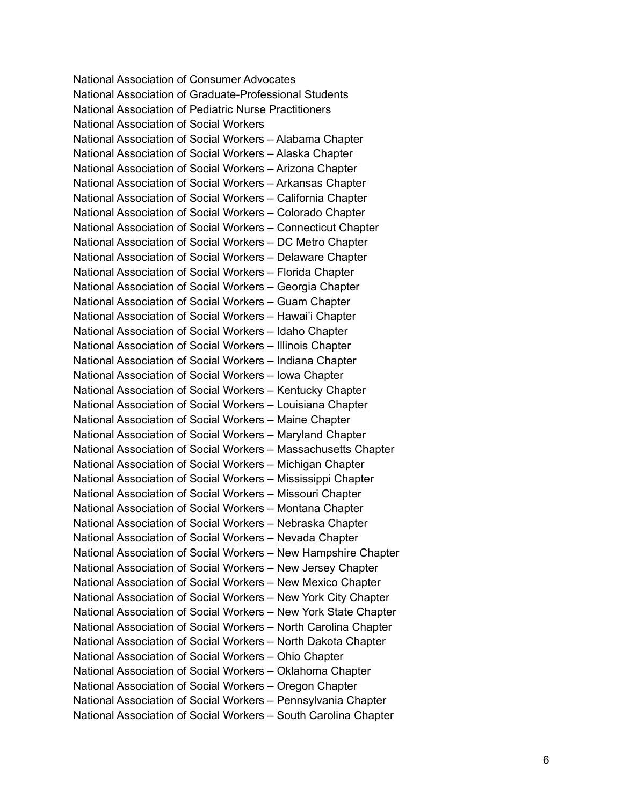National Association of Consumer Advocates National Association of Graduate-Professional Students National Association of Pediatric Nurse Practitioners National Association of Social Workers National Association of Social Workers - Alabama Chapter National Association of Social Workers - Alaska Chapter National Association of Social Workers - Arizona Chapter National Association of Social Workers - Arkansas Chapter National Association of Social Workers - California Chapter National Association of Social Workers - Colorado Chapter National Association of Social Workers - Connecticut Chapter National Association of Social Workers - DC Metro Chapter National Association of Social Workers - Delaware Chapter National Association of Social Workers - Florida Chapter National Association of Social Workers - Georgia Chapter National Association of Social Workers - Guam Chapter National Association of Social Workers - Hawai'i Chapter National Association of Social Workers - Idaho Chapter National Association of Social Workers - Illinois Chapter National Association of Social Workers - Indiana Chapter National Association of Social Workers - Iowa Chapter National Association of Social Workers - Kentucky Chapter National Association of Social Workers - Louisiana Chapter National Association of Social Workers - Maine Chapter National Association of Social Workers - Maryland Chapter National Association of Social Workers - Massachusetts Chapter National Association of Social Workers - Michigan Chapter National Association of Social Workers - Mississippi Chapter National Association of Social Workers - Missouri Chapter National Association of Social Workers - Montana Chapter National Association of Social Workers - Nebraska Chapter National Association of Social Workers - Nevada Chapter National Association of Social Workers - New Hampshire Chapter National Association of Social Workers - New Jersey Chapter National Association of Social Workers - New Mexico Chapter National Association of Social Workers - New York City Chapter National Association of Social Workers - New York State Chapter National Association of Social Workers - North Carolina Chapter National Association of Social Workers - North Dakota Chapter National Association of Social Workers - Ohio Chapter National Association of Social Workers - Oklahoma Chapter National Association of Social Workers - Oregon Chapter National Association of Social Workers - Pennsylvania Chapter National Association of Social Workers - South Carolina Chapter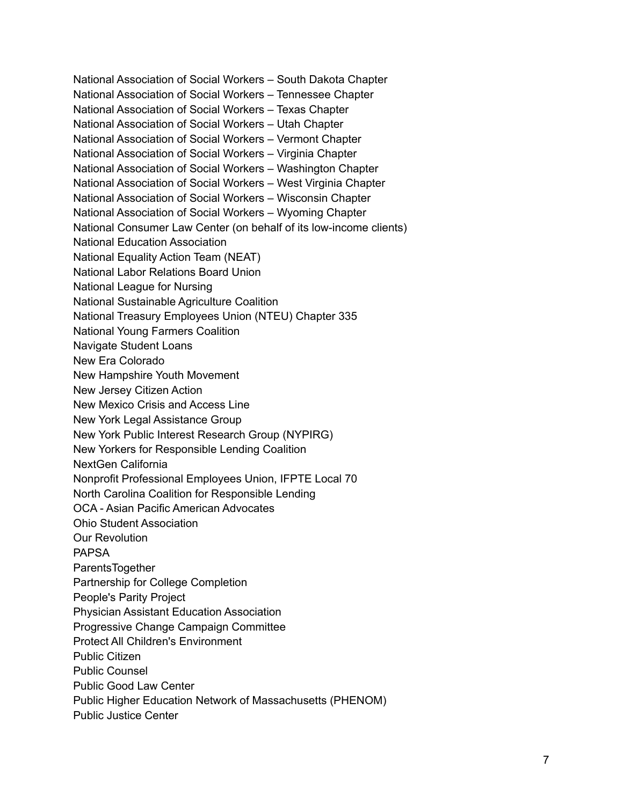National Association of Social Workers – South Dakota Chapter National Association of Social Workers – Tennessee Chapter National Association of Social Workers – Texas Chapter National Association of Social Workers – Utah Chapter National Association of Social Workers – Vermont Chapter National Association of Social Workers – Virginia Chapter National Association of Social Workers – Washington Chapter National Association of Social Workers – West Virginia Chapter National Association of Social Workers – Wisconsin Chapter National Association of Social Workers – Wyoming Chapter National Consumer Law Center (on behalf of its low-income clients) National Education Association National Equality Action Team (NEAT) National Labor Relations Board Union National League for Nursing National Sustainable Agriculture Coalition National Treasury Employees Union (NTEU) Chapter 335 National Young Farmers Coalition Navigate Student Loans New Era Colorado New Hampshire Youth Movement New Jersey Citizen Action New Mexico Crisis and Access Line New York Legal Assistance Group New York Public Interest Research Group (NYPIRG) New Yorkers for Responsible Lending Coalition NextGen California Nonprofit Professional Employees Union, IFPTE Local 70 North Carolina Coalition for Responsible Lending OCA - Asian Pacific American Advocates Ohio Student Association Our Revolution PAPSA ParentsTogether Partnership for College Completion People's Parity Project Physician Assistant Education Association Progressive Change Campaign Committee Protect All Children's Environment Public Citizen Public Counsel Public Good Law Center Public Higher Education Network of Massachusetts (PHENOM) Public Justice Center